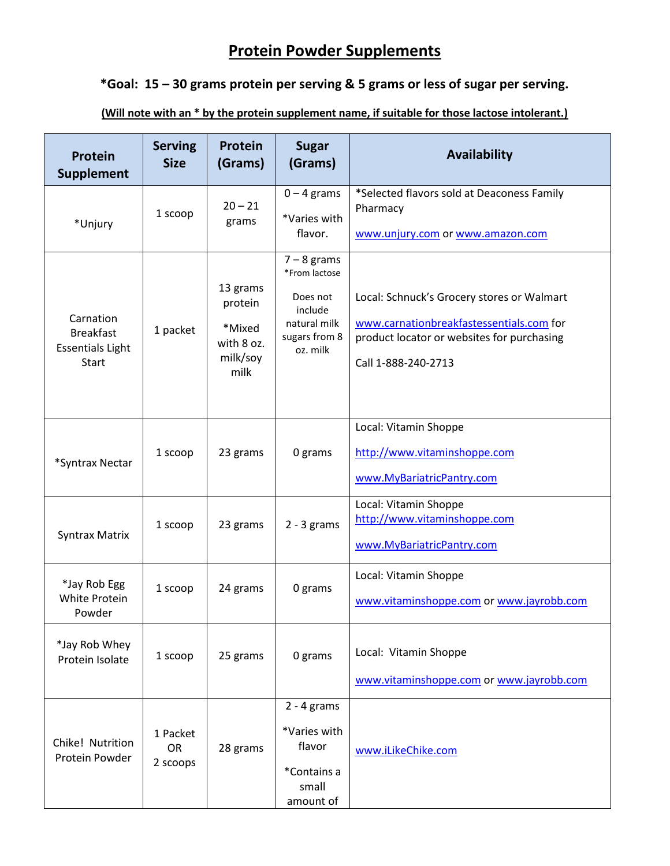## **Protein Powder Supplements**

## **\*Goal: 15 – 30 grams protein per serving & 5 grams or less of sugar per serving.**

**(Will note with an \* by the protein supplement name, if suitable for those lactose intolerant.)**

| <b>Protein</b><br>Supplement                                             | <b>Serving</b><br><b>Size</b>     | <b>Protein</b><br>(Grams)                                       | <b>Sugar</b><br>(Grams)                                                                            | <b>Availability</b>                                                                                                                                         |
|--------------------------------------------------------------------------|-----------------------------------|-----------------------------------------------------------------|----------------------------------------------------------------------------------------------------|-------------------------------------------------------------------------------------------------------------------------------------------------------------|
| *Unjury                                                                  | 1 scoop                           | $20 - 21$<br>grams                                              | $0 - 4$ grams<br>*Varies with<br>flavor.                                                           | *Selected flavors sold at Deaconess Family<br>Pharmacy<br>www.unjury.com or www.amazon.com                                                                  |
| Carnation<br><b>Breakfast</b><br><b>Essentials Light</b><br><b>Start</b> | 1 packet                          | 13 grams<br>protein<br>*Mixed<br>with 8 oz.<br>milk/soy<br>milk | $7 - 8$ grams<br>*From lactose<br>Does not<br>include<br>natural milk<br>sugars from 8<br>oz. milk | Local: Schnuck's Grocery stores or Walmart<br>www.carnationbreakfastessentials.com for<br>product locator or websites for purchasing<br>Call 1-888-240-2713 |
| *Syntrax Nectar                                                          | 1 scoop                           | 23 grams                                                        | 0 grams                                                                                            | Local: Vitamin Shoppe<br>http://www.vitaminshoppe.com<br>www.MyBariatricPantry.com                                                                          |
| <b>Syntrax Matrix</b>                                                    | 1 scoop                           | 23 grams                                                        | $2 - 3$ grams                                                                                      | Local: Vitamin Shoppe<br>http://www.vitaminshoppe.com<br>www.MyBariatricPantry.com                                                                          |
| *Jay Rob Egg<br>White Protein<br>Powder                                  | 1 scoop                           | 24 grams                                                        | 0 grams                                                                                            | Local: Vitamin Shoppe<br>www.vitaminshoppe.com or www.jayrobb.com                                                                                           |
| *Jay Rob Whey<br>Protein Isolate                                         | 1 scoop                           | 25 grams                                                        | 0 grams                                                                                            | Local: Vitamin Shoppe<br>www.vitaminshoppe.com or www.jayrobb.com                                                                                           |
| Chike! Nutrition<br>Protein Powder                                       | 1 Packet<br><b>OR</b><br>2 scoops | 28 grams                                                        | $2 - 4$ grams<br>*Varies with<br>flavor<br>*Contains a<br>small<br>amount of                       | www.iLikeChike.com                                                                                                                                          |